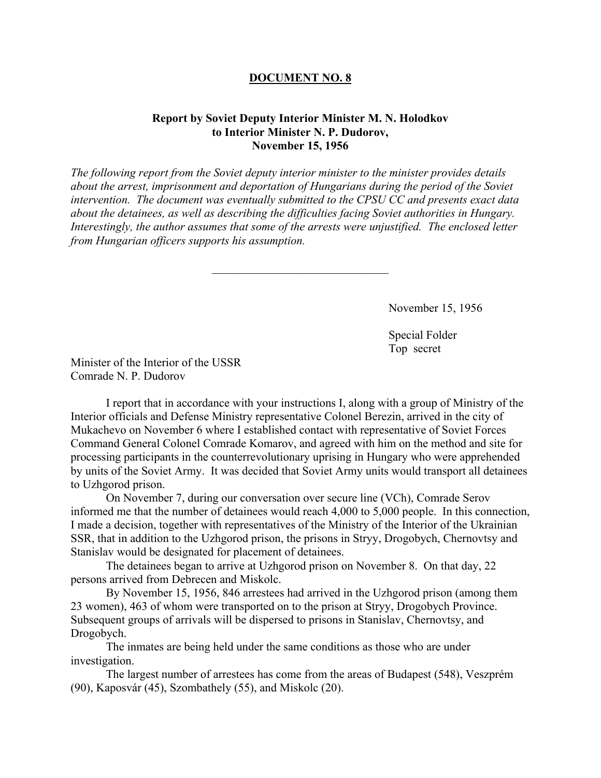## **DOCUMENT NO. 8**

## **Report by Soviet Deputy Interior Minister M. N. Holodkov to Interior Minister N. P. Dudorov, November 15, 1956**

*The following report from the Soviet deputy interior minister to the minister provides details about the arrest, imprisonment and deportation of Hungarians during the period of the Soviet intervention. The document was eventually submitted to the CPSU CC and presents exact data about the detainees, as well as describing the difficulties facing Soviet authorities in Hungary. Interestingly, the author assumes that some of the arrests were unjustified. The enclosed letter from Hungarian officers supports his assumption.* 

 $\mathcal{L}_\text{max}$ 

November 15, 1956

Special Folder Top secret

Minister of the Interior of the USSR Comrade N. P. Dudorov

I report that in accordance with your instructions I, along with a group of Ministry of the Interior officials and Defense Ministry representative Colonel Berezin, arrived in the city of Mukachevo on November 6 where I established contact with representative of Soviet Forces Command General Colonel Comrade Komarov, and agreed with him on the method and site for processing participants in the counterrevolutionary uprising in Hungary who were apprehended by units of the Soviet Army. It was decided that Soviet Army units would transport all detainees to Uzhgorod prison.

On November 7, during our conversation over secure line (VCh), Comrade Serov informed me that the number of detainees would reach 4,000 to 5,000 people. In this connection, I made a decision, together with representatives of the Ministry of the Interior of the Ukrainian SSR, that in addition to the Uzhgorod prison, the prisons in Stryy, Drogobych, Chernovtsy and Stanislav would be designated for placement of detainees.

The detainees began to arrive at Uzhgorod prison on November 8. On that day, 22 persons arrived from Debrecen and Miskolc.

By November 15, 1956, 846 arrestees had arrived in the Uzhgorod prison (among them 23 women), 463 of whom were transported on to the prison at Stryy, Drogobych Province. Subsequent groups of arrivals will be dispersed to prisons in Stanislav, Chernovtsy, and Drogobych.

The inmates are being held under the same conditions as those who are under investigation.

The largest number of arrestees has come from the areas of Budapest (548), Veszprém (90), Kaposvár (45), Szombathely (55), and Miskolc (20).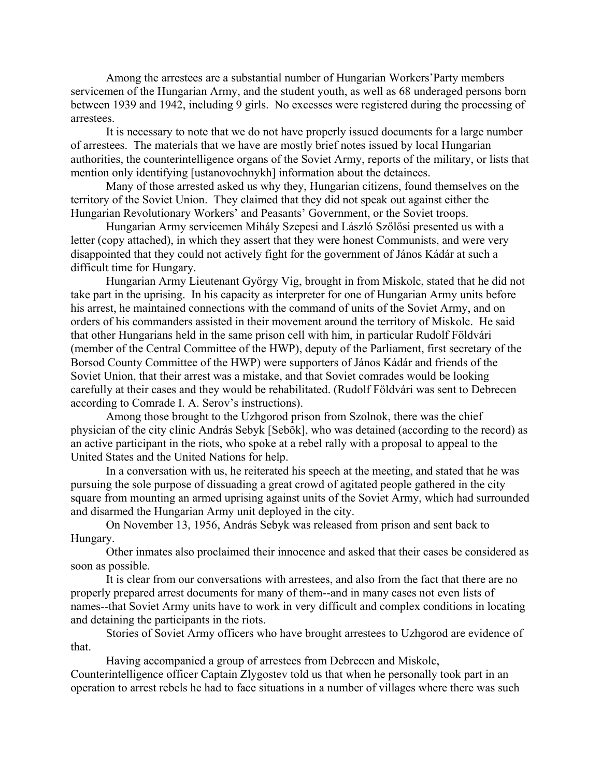Among the arrestees are a substantial number of Hungarian Workers'Party members servicemen of the Hungarian Army, and the student youth, as well as 68 underaged persons born between 1939 and 1942, including 9 girls. No excesses were registered during the processing of arrestees.

It is necessary to note that we do not have properly issued documents for a large number of arrestees. The materials that we have are mostly brief notes issued by local Hungarian authorities, the counterintelligence organs of the Soviet Army, reports of the military, or lists that mention only identifying [ustanovochnykh] information about the detainees.

Many of those arrested asked us why they, Hungarian citizens, found themselves on the territory of the Soviet Union. They claimed that they did not speak out against either the Hungarian Revolutionary Workers' and Peasants' Government, or the Soviet troops.

Hungarian Army servicemen Mihály Szepesi and László Szőlősi presented us with a letter (copy attached), in which they assert that they were honest Communists, and were very disappointed that they could not actively fight for the government of János Kádár at such a difficult time for Hungary.

Hungarian Army Lieutenant György Vig, brought in from Miskolc, stated that he did not take part in the uprising. In his capacity as interpreter for one of Hungarian Army units before his arrest, he maintained connections with the command of units of the Soviet Army, and on orders of his commanders assisted in their movement around the territory of Miskolc. He said that other Hungarians held in the same prison cell with him, in particular Rudolf Földvári (member of the Central Committee of the HWP), deputy of the Parliament, first secretary of the Borsod County Committee of the HWP) were supporters of János Kádár and friends of the Soviet Union, that their arrest was a mistake, and that Soviet comrades would be looking carefully at their cases and they would be rehabilitated. (Rudolf Földvári was sent to Debrecen according to Comrade I. A. Serov's instructions).

Among those brought to the Uzhgorod prison from Szolnok, there was the chief physician of the city clinic András Sebyk [Sebõk], who was detained (according to the record) as an active participant in the riots, who spoke at a rebel rally with a proposal to appeal to the United States and the United Nations for help.

In a conversation with us, he reiterated his speech at the meeting, and stated that he was pursuing the sole purpose of dissuading a great crowd of agitated people gathered in the city square from mounting an armed uprising against units of the Soviet Army, which had surrounded and disarmed the Hungarian Army unit deployed in the city.

On November 13, 1956, András Sebyk was released from prison and sent back to Hungary.

Other inmates also proclaimed their innocence and asked that their cases be considered as soon as possible.

It is clear from our conversations with arrestees, and also from the fact that there are no properly prepared arrest documents for many of them--and in many cases not even lists of names--that Soviet Army units have to work in very difficult and complex conditions in locating and detaining the participants in the riots.

Stories of Soviet Army officers who have brought arrestees to Uzhgorod are evidence of that.

Having accompanied a group of arrestees from Debrecen and Miskolc, Counterintelligence officer Captain Zlygostev told us that when he personally took part in an operation to arrest rebels he had to face situations in a number of villages where there was such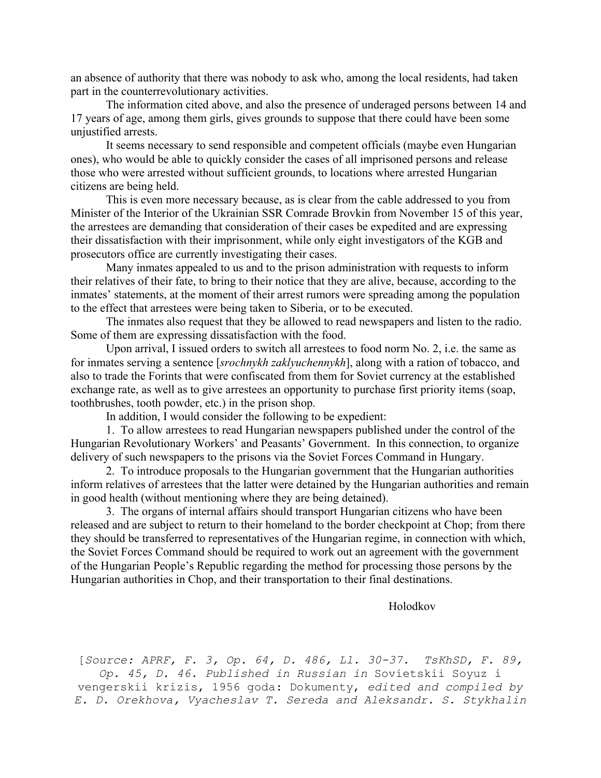an absence of authority that there was nobody to ask who, among the local residents, had taken part in the counterrevolutionary activities.

The information cited above, and also the presence of underaged persons between 14 and 17 years of age, among them girls, gives grounds to suppose that there could have been some unjustified arrests.

It seems necessary to send responsible and competent officials (maybe even Hungarian ones), who would be able to quickly consider the cases of all imprisoned persons and release those who were arrested without sufficient grounds, to locations where arrested Hungarian citizens are being held.

This is even more necessary because, as is clear from the cable addressed to you from Minister of the Interior of the Ukrainian SSR Comrade Brovkin from November 15 of this year, the arrestees are demanding that consideration of their cases be expedited and are expressing their dissatisfaction with their imprisonment, while only eight investigators of the KGB and prosecutors office are currently investigating their cases.

Many inmates appealed to us and to the prison administration with requests to inform their relatives of their fate, to bring to their notice that they are alive, because, according to the inmates' statements, at the moment of their arrest rumors were spreading among the population to the effect that arrestees were being taken to Siberia, or to be executed.

The inmates also request that they be allowed to read newspapers and listen to the radio. Some of them are expressing dissatisfaction with the food.

Upon arrival, I issued orders to switch all arrestees to food norm No. 2, i.e. the same as for inmates serving a sentence [*srochnykh zaklyuchennykh*], along with a ration of tobacco, and also to trade the Forints that were confiscated from them for Soviet currency at the established exchange rate, as well as to give arrestees an opportunity to purchase first priority items (soap, toothbrushes, tooth powder, etc.) in the prison shop.

In addition, I would consider the following to be expedient:

1. To allow arrestees to read Hungarian newspapers published under the control of the Hungarian Revolutionary Workers' and Peasants' Government. In this connection, to organize delivery of such newspapers to the prisons via the Soviet Forces Command in Hungary.

2. To introduce proposals to the Hungarian government that the Hungarian authorities inform relatives of arrestees that the latter were detained by the Hungarian authorities and remain in good health (without mentioning where they are being detained).

3. The organs of internal affairs should transport Hungarian citizens who have been released and are subject to return to their homeland to the border checkpoint at Chop; from there they should be transferred to representatives of the Hungarian regime, in connection with which, the Soviet Forces Command should be required to work out an agreement with the government of the Hungarian People's Republic regarding the method for processing those persons by the Hungarian authorities in Chop, and their transportation to their final destinations.

Holodkov

[*Source: APRF, F. 3, Op. 64, D. 486, Ll. 30-37. TsKhSD, F. 89, Op. 45, D. 46. Published in Russian in* Sovietskii Soyuz i vengerskii krizis, 1956 goda: Dokumenty, *edited and compiled by E. D. Orekhova, Vyacheslav T. Sereda and Aleksandr. S. Stykhalin*